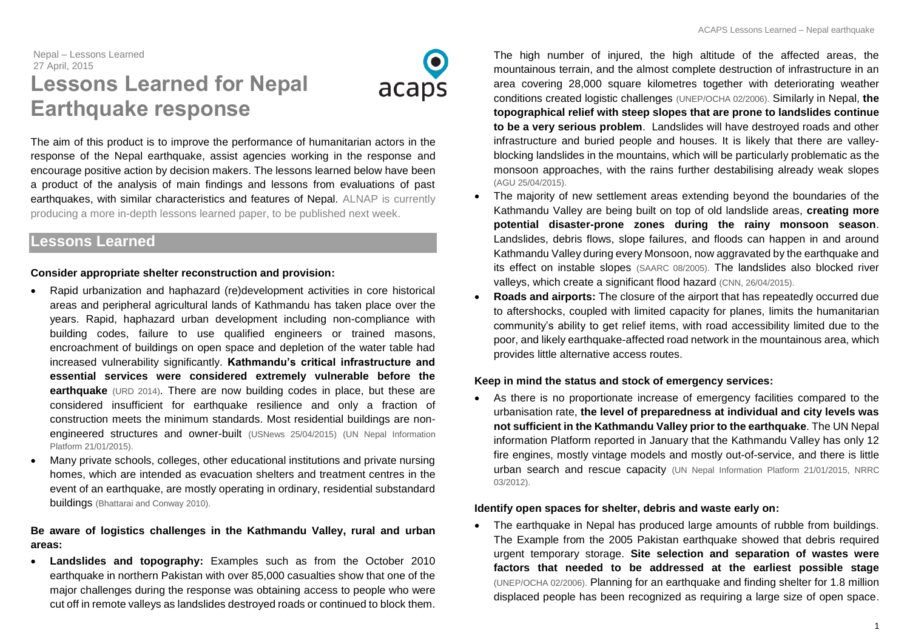# Nepal – Lessons Learned 27 April, 2015 **Lessons Learned for Nepal Earthquake response**



The aim of this product is to improve the performance of humanitarian actors in the response of the Nepal earthquake, assist agencies working in the response and encourage positive action by decision makers. The lessons learned below have been a product of the analysis of main findings and lessons from evaluations of past earthquakes, with similar characteristics and features of Nepal. ALNAP is currently producing a more in-depth lessons learned paper, to be published next week.

## **Lessons Learned**

## **Consider appropriate shelter reconstruction and provision:**

- Rapid urbanization and haphazard (re)development activities in core historical areas and peripheral agricultural lands of Kathmandu has taken place over the years. Rapid, haphazard urban development including non-compliance with building codes, failure to use qualified engineers or trained masons, encroachment of buildings on open space and depletion of the water table had increased vulnerability significantly. **Kathmandu's critical infrastructure and essential services were considered extremely vulnerable before the earthquake** [\(URD 2014\)](http://www.urd.org/IMG/pdf/Urban_Preparedness_Kathmandu_Exec_Summ_.pdf). There are now building codes in place, but these are considered insufficient for earthquake resilience and only a fraction of construction meets the minimum standards. Most residential buildings are nonengineered structures and owner-built [\(USNews 25/04/2015\)](http://www.usnews.com/news/world/articles/2015/04/25/experts-gathered-in-nepal-a-week-ago-to-ready-for-earthquake) [\(UN Nepal Information](http://un.org.np/attachments/un-rchc-robert-piper-perfect-storm-earthquake-and-poor-governance-could-cripple-nepal)  [Platform 21/01/2015\)](http://un.org.np/attachments/un-rchc-robert-piper-perfect-storm-earthquake-and-poor-governance-could-cripple-nepal).
- Many private schools, colleges, other educational institutions and private nursing homes, which are intended as evacuation shelters and treatment centres in the event of an earthquake, are mostly operating in ordinary, residential substandard buildings [\(Bhattarai and Conway 2010\)](http://www.google.de/url?sa=t&rct=j&q=&esrc=s&source=web&cd=1&ved=0CCEQFjAA&url=http%3A%2F%2Fwww.scirp.org%2FJournal%2FPaperDownload.aspx%3FpaperID%3D1737&ei=swM9VdWbF8HOaKLZgDA&usg=AFQjCNE2VRLNcWXi0FuKx7GijiT8XXHpQg&bvm=bv.91665533,d.ZWU).

## **Be aware of logistics challenges in the Kathmandu Valley, rural and urban areas:**

 **Landslides and topography:** Examples such as from the October 2010 earthquake in northern Pakistan with over 85,000 casualties show that one of the major challenges during the response was obtaining access to people who were cut off in remote valleys as landslides destroyed roads or continued to block them.

The high number of injured, the high altitude of the affected areas, the mountainous terrain, and the almost complete destruction of infrastructure in an area covering 28,000 square kilometres together with deteriorating weather conditions created logistic challenges [\(UNEP/OCHA 02/2006\).](http://postconflict.unep.ch/humanitarianaction/documents/01_01-07.pdf) Similarly in Nepal, **the topographical relief with steep slopes that are prone to landslides continue to be a very serious problem**. Landslides will have destroyed roads and other infrastructure and buried people and houses. It is likely that there are valleyblocking landslides in the mountains, which will be particularly problematic as the monsoon approaches, with the rains further destabilising already weak slopes [\(AGU 25/04/2015\)](http://blogs.agu.org/landslideblog/2015/04/25/earthquake-in-nepal-1/).

- The majority of new settlement areas extending beyond the boundaries of the Kathmandu Valley are being built on top of old landslide areas, **creating more potential disaster-prone zones during the rainy monsoon season**. Landslides, debris flows, slope failures, and floods can happen in and around Kathmandu Valley during every Monsoon, now aggravated by the earthquake and its effect on instable slopes [\(SAARC 08/2005\)](http://saarc-sdmc.nic.in/pdf/nepal/file8.pdf). The landslides also blocked river valleys, which create a significant flood hazard [\(CNN, 26/04/2015\)](http://edition.cnn.com/2015/04/25/world/nepal-earthquake-impact/index.html).
- **Roads and airports:** The closure of the airport that has repeatedly occurred due to aftershocks, coupled with limited capacity for planes, limits the humanitarian community's ability to get relief items, with road accessibility limited due to the poor, and likely earthquake-affected road network in the mountainous area, which provides little alternative access routes.

## **Keep in mind the status and stock of emergency services:**

 As there is no proportionate increase of emergency facilities compared to the urbanisation rate, **the level of preparedness at individual and city levels was not sufficient in the Kathmandu Valley prior to the earthquake**. The UN Nepal information Platform reported in January that the Kathmandu Valley has only 12 fire engines, mostly vintage models and mostly out-of-service, and there is little urban search and rescue capacity [\(UN Nepal Information Platform 21/01/2015,](http://un.org.np/attachments/un-rchc-robert-piper-perfect-storm-earthquake-and-poor-governance-could-cripple-nepal) [NRRC](http://www.odihpn.org/humanitarian-exchange-magazine/issue-53/the-nepal-risk-reduction-consortium)  [03/2012\)](http://www.odihpn.org/humanitarian-exchange-magazine/issue-53/the-nepal-risk-reduction-consortium).

#### **Identify open spaces for shelter, debris and waste early on:**

• The earthquake in Nepal has produced large amounts of rubble from buildings. The Example from the 2005 Pakistan earthquake showed that debris required urgent temporary storage. **Site selection and separation of wastes were factors that needed to be addressed at the earliest possible stage** [\(UNEP/OCHA 02/2006\)](http://postconflict.unep.ch/humanitarianaction/documents/01_01-07.pdf). Planning for an earthquake and finding shelter for 1.8 million displaced people has been recognized as requiring a large size of open space.